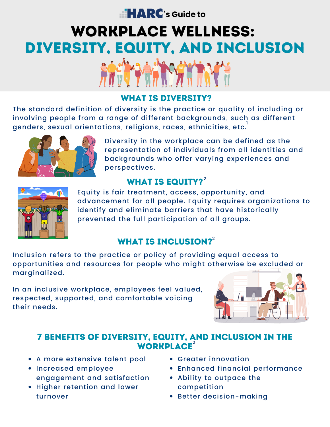# **Example 12 RC**'s Guide to

# WORKPLACE WELLNESS: DIVERSITY, EQUITY, AND INCLUSION

### WHAT IS DIVERSITY?

The standard definition of diversity is the practice or quality of including or involving people from a range of different backgrounds, such as different genders, sexual orientations, religions, races, ethnicities, etc. $^\mathsf{I}$ 



Diversity in the workplace can be defined as the representation of individuals from all identities and backgrounds who offer varying experiences and perspectives.

## WHAT IS EQUITY? $2^2$  $2^2$



[Equity](https://www.merriam-webster.com/dictionary/equity) is fair treatment, access, opportunity, and advancement for all people. Equity requires organizations to identify and eliminate barriers that have historically prevented the full participation of all groups.

# WHAT IS INCLUSION? $2^2$  $2^2$

Inclusion refers to the practice or policy of providing equal access to opportunities and resources for people who might otherwise be excluded or marginalized.

In an inclusive workplace, employees feel valued, respected, supported, and [comfortable](https://online.sbu.edu/news/inclusiveness) voicing their needs.



#### 7 BENEFITS OF DIVERSITY, EQUITY, AND INCLUSION IN THE WORKPLACE<sup>[2](https://online.sbu.edu/news/why-dei-matters)</sup>

- A more extensive talent pool
- Increased employee engagement and satisfaction
- Higher retention and lower turnover
- Greater innovation
- Enhanced financial performance
- Ability to outpace the competition
- Better decision-making